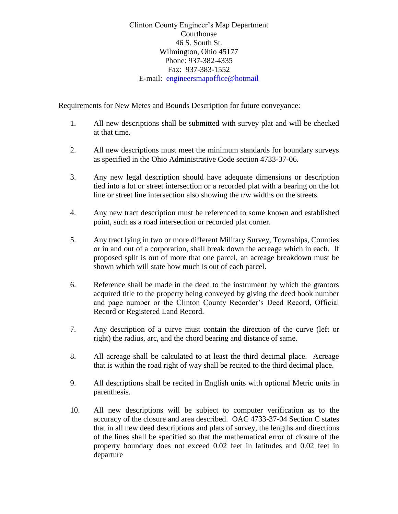Clinton County Engineer's Map Department Courthouse 46 S. South St. Wilmington, Ohio 45177 Phone: 937-382-4335 Fax: 937-383-1552 E-mail: [engineersmapoffice@hotmail](mailto:taxmap@dragonbbs.com)

Requirements for New Metes and Bounds Description for future conveyance:

- 1. All new descriptions shall be submitted with survey plat and will be checked at that time.
- 2. All new descriptions must meet the minimum standards for boundary surveys as specified in the Ohio Administrative Code section 4733-37-06.
- 3. Any new legal description should have adequate dimensions or description tied into a lot or street intersection or a recorded plat with a bearing on the lot line or street line intersection also showing the r/w widths on the streets.
- 4. Any new tract description must be referenced to some known and established point, such as a road intersection or recorded plat corner.
- 5. Any tract lying in two or more different Military Survey, Townships, Counties or in and out of a corporation, shall break down the acreage which in each. If proposed split is out of more that one parcel, an acreage breakdown must be shown which will state how much is out of each parcel.
- 6. Reference shall be made in the deed to the instrument by which the grantors acquired title to the property being conveyed by giving the deed book number and page number or the Clinton County Recorder's Deed Record, Official Record or Registered Land Record.
- 7. Any description of a curve must contain the direction of the curve (left or right) the radius, arc, and the chord bearing and distance of same.
- 8. All acreage shall be calculated to at least the third decimal place. Acreage that is within the road right of way shall be recited to the third decimal place.
- 9. All descriptions shall be recited in English units with optional Metric units in parenthesis.
- 10. All new descriptions will be subject to computer verification as to the accuracy of the closure and area described. OAC 4733-37-04 Section C states that in all new deed descriptions and plats of survey, the lengths and directions of the lines shall be specified so that the mathematical error of closure of the property boundary does not exceed 0.02 feet in latitudes and 0.02 feet in departure